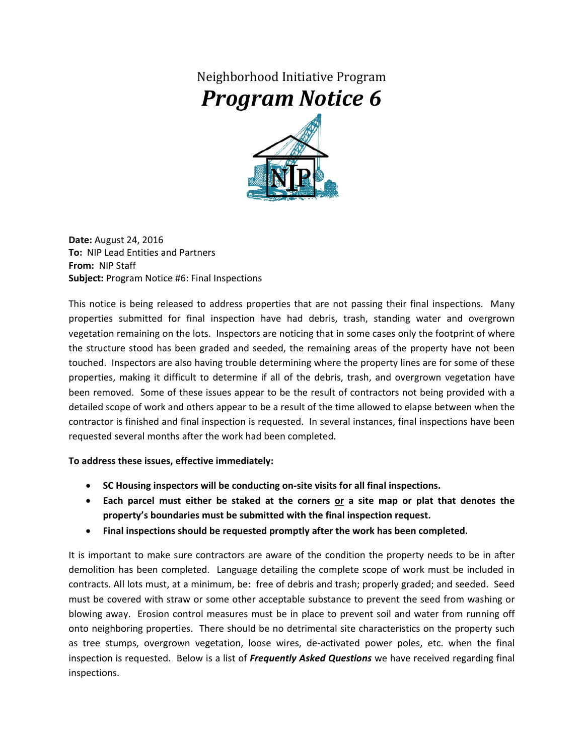## Neighborhood Initiative Program *Program Notice 6*



**Date:** August 24, 2016 **To:** NIP Lead Entities and Partners **From:** NIP Staff **Subject:** Program Notice #6: Final Inspections

This notice is being released to address properties that are not passing their final inspections. Many properties submitted for final inspection have had debris, trash, standing water and overgrown vegetation remaining on the lots. Inspectors are noticing that in some cases only the footprint of where the structure stood has been graded and seeded, the remaining areas of the property have not been touched. Inspectors are also having trouble determining where the property lines are for some of these properties, making it difficult to determine if all of the debris, trash, and overgrown vegetation have been removed. Some of these issues appear to be the result of contractors not being provided with a detailed scope of work and others appear to be a result of the time allowed to elapse between when the contractor is finished and final inspection is requested. In several instances, final inspections have been requested several months after the work had been completed.

## **To address these issues, effective immediately:**

- **SC Housing inspectors will be conducting on-site visits for all final inspections.**
- **Each parcel must either be staked at the corners or a site map or plat that denotes the property's boundaries must be submitted with the final inspection request.**
- **Final inspections should be requested promptly after the work has been completed.**

It is important to make sure contractors are aware of the condition the property needs to be in after demolition has been completed. Language detailing the complete scope of work must be included in contracts. All lots must, at a minimum, be: free of debris and trash; properly graded; and seeded. Seed must be covered with straw or some other acceptable substance to prevent the seed from washing or blowing away. Erosion control measures must be in place to prevent soil and water from running off onto neighboring properties. There should be no detrimental site characteristics on the property such as tree stumps, overgrown vegetation, loose wires, de-activated power poles, etc. when the final inspection is requested. Below is a list of *Frequently Asked Questions* we have received regarding final inspections.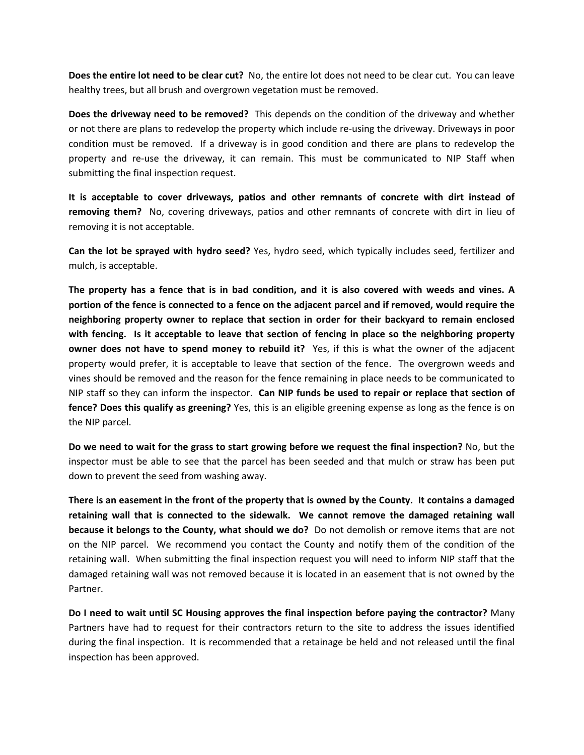**Does the entire lot need to be clear cut?** No, the entire lot does not need to be clear cut. You can leave healthy trees, but all brush and overgrown vegetation must be removed.

**Does the driveway need to be removed?** This depends on the condition of the driveway and whether or not there are plans to redevelop the property which include re-using the driveway. Driveways in poor condition must be removed. If a driveway is in good condition and there are plans to redevelop the property and re-use the driveway, it can remain. This must be communicated to NIP Staff when submitting the final inspection request.

**It is acceptable to cover driveways, patios and other remnants of concrete with dirt instead of removing them?** No, covering driveways, patios and other remnants of concrete with dirt in lieu of removing it is not acceptable.

**Can the lot be sprayed with hydro seed?** Yes, hydro seed, which typically includes seed, fertilizer and mulch, is acceptable.

**The property has a fence that is in bad condition, and it is also covered with weeds and vines. A portion of the fence is connected to a fence on the adjacent parcel and if removed, would require the neighboring property owner to replace that section in order for their backyard to remain enclosed with fencing. Is it acceptable to leave that section of fencing in place so the neighboring property owner does not have to spend money to rebuild it?** Yes, if this is what the owner of the adjacent property would prefer, it is acceptable to leave that section of the fence. The overgrown weeds and vines should be removed and the reason for the fence remaining in place needs to be communicated to NIP staff so they can inform the inspector. **Can NIP funds be used to repair or replace that section of fence? Does this qualify as greening?** Yes, this is an eligible greening expense as long as the fence is on the NIP parcel.

**Do we need to wait for the grass to start growing before we request the final inspection?** No, but the inspector must be able to see that the parcel has been seeded and that mulch or straw has been put down to prevent the seed from washing away.

**There is an easement in the front of the property that is owned by the County. It contains a damaged retaining wall that is connected to the sidewalk. We cannot remove the damaged retaining wall because it belongs to the County, what should we do?** Do not demolish or remove items that are not on the NIP parcel. We recommend you contact the County and notify them of the condition of the retaining wall. When submitting the final inspection request you will need to inform NIP staff that the damaged retaining wall was not removed because it is located in an easement that is not owned by the Partner.

**Do I need to wait until SC Housing approves the final inspection before paying the contractor?** Many Partners have had to request for their contractors return to the site to address the issues identified during the final inspection. It is recommended that a retainage be held and not released until the final inspection has been approved.